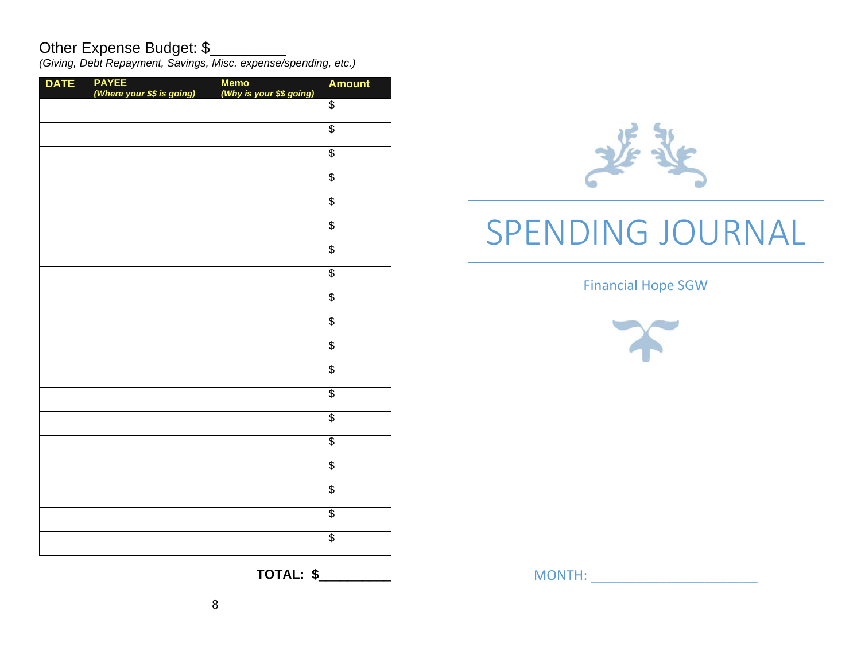# Other Expense Budget: \$

*(Giving, Debt Repayment, Savings, Misc. expense/spending, etc.)* 

| <b>DATE</b> | <b>PAYEE</b><br>(Where your \$\$ is going) | <b>Memo</b><br>(Why is your \$\$ going) | <b>Amount</b>           |
|-------------|--------------------------------------------|-----------------------------------------|-------------------------|
|             |                                            |                                         | $\overline{\mathbf{e}}$ |
|             |                                            |                                         | $\overline{\$}$         |
|             |                                            |                                         | $\overline{\$}$         |
|             |                                            |                                         | $\overline{\$}$         |
|             |                                            |                                         | $\overline{\$}$         |
|             |                                            |                                         | $\overline{\$}$         |
|             |                                            |                                         | $\overline{\$}$         |
|             |                                            |                                         | $\overline{\$}$         |
|             |                                            |                                         | $\overline{\$}$         |
|             |                                            |                                         | $\overline{\$}$         |
|             |                                            |                                         | $\overline{\$}$         |
|             |                                            |                                         | $\overline{\$}$         |
|             |                                            |                                         | $\overline{\mathbf{e}}$ |
|             |                                            |                                         | \$                      |
|             |                                            |                                         | $\overline{\$}$         |
|             |                                            |                                         | $\overline{\$}$         |
|             |                                            |                                         | $\overline{\$}$         |
|             |                                            |                                         | $\overline{\$}$         |
|             |                                            |                                         | $\overline{\$}$         |
|             |                                            |                                         |                         |



Financial Hope SGW



**TOTAL: \$**\_\_\_\_\_\_\_\_\_\_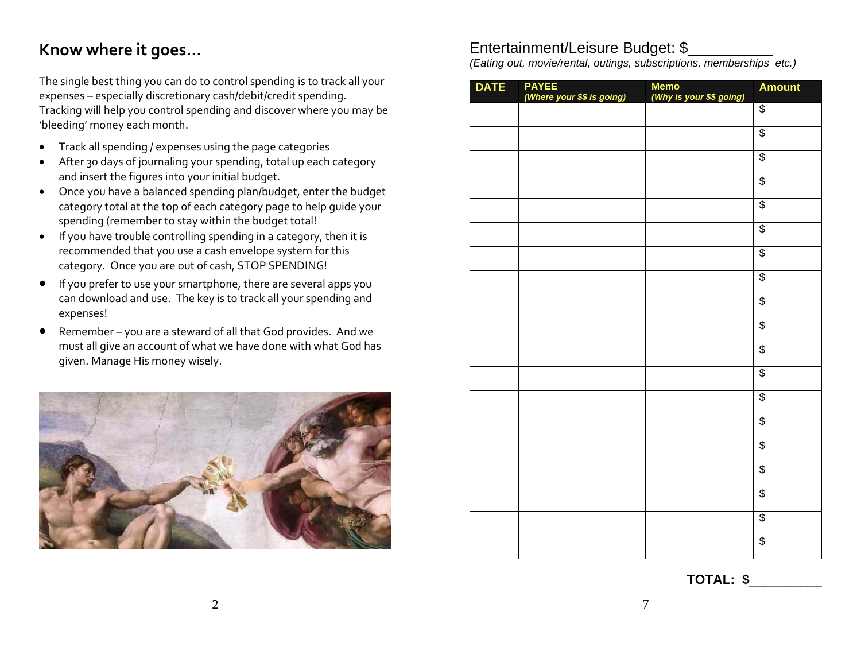# **Know where it goes…**

The single best thing you can do to control spending is to track all your expenses – especially discretionary cash/debit/credit spending. Tracking will help you control spending and discover where you may be 'bleeding' money each month.

- $\bullet$ Track all spending / expenses using the page categories
- $\bullet$  After 30 days of journaling your spending, total up each category and insert the figures into your initial budget.
- Once you have <sup>a</sup> balanced spending plan/budget, enter the budget category total at the top of each category page to help guide your spending (remember to stay within the budget total!
- $\bullet$  If you have trouble controlling spending in <sup>a</sup> category, then it is recommended that you use <sup>a</sup> cash envelope system for this category. Once you are out of cash, STOP SPENDING!
- $\bullet$  If you prefer to use your smartphone, there are several apps you can download and use. The key is to track all your spending and expenses!
- $\bullet$  Remember – you are <sup>a</sup> steward of all that God provides. And we must all give an account of what we have done with what God has given. Manage His money wisely.



#### Entertainment/Leisure Budget: \$\_\_\_\_\_\_\_\_\_\_

*(Eating out, movie/rental, outings, subscriptions, memberships etc.)* 

| <b>DATE</b> | PAYEE<br>(Where your \$\$ is going) | Memo<br>(Why is your \$\$ going) | <b>Amount</b>   |
|-------------|-------------------------------------|----------------------------------|-----------------|
|             |                                     |                                  | \$              |
|             |                                     |                                  | $\overline{\$}$ |
|             |                                     |                                  | $\overline{\$}$ |
|             |                                     |                                  | \$              |
|             |                                     |                                  | \$              |
|             |                                     |                                  | $\overline{\$}$ |
|             |                                     |                                  | $\overline{\$}$ |
|             |                                     |                                  | $\overline{\$}$ |
|             |                                     |                                  | $\overline{\$}$ |
|             |                                     |                                  | $\overline{\$}$ |
|             |                                     |                                  | $\overline{\$}$ |
|             |                                     |                                  | \$              |
|             |                                     |                                  | \$              |
|             |                                     |                                  | $\overline{\$}$ |
|             |                                     |                                  | $\overline{\$}$ |
|             |                                     |                                  | $\overline{\$}$ |
|             |                                     |                                  | $\overline{\$}$ |
|             |                                     |                                  | $\overline{\$}$ |
|             |                                     |                                  | $\overline{\$}$ |

**TOTAL: \$**\_\_\_\_\_\_\_\_\_\_

2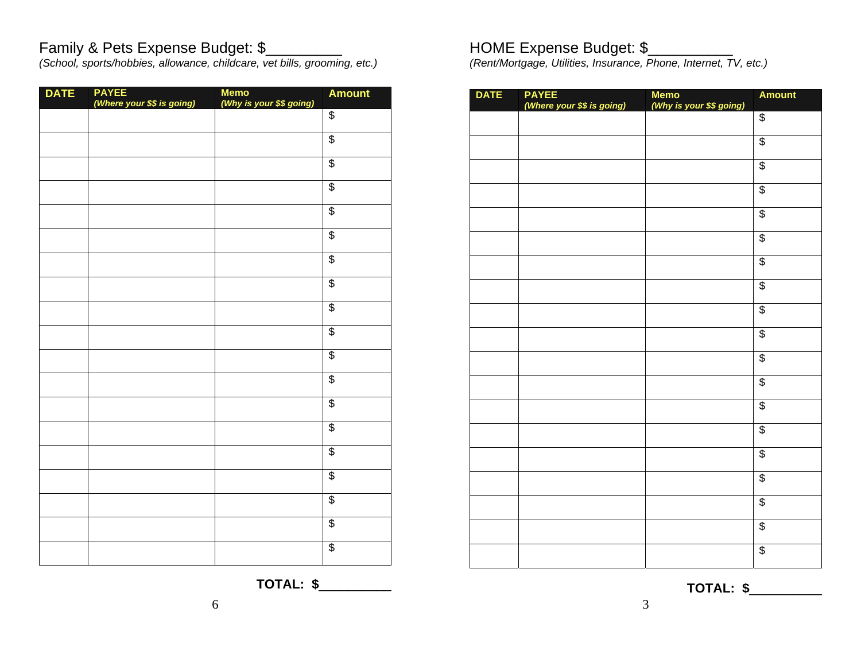### Family & Pets Expense Budget: \$\_\_\_\_\_\_\_\_\_\_

*(School, sports/hobbies, allowance, childcare, vet bills, grooming, etc.)* 

| <b>DATE</b> | <b>PAYEE</b><br>(Where your \$\$ is going) | Memo<br>(Why is your \$\$ going) | <b>Amount</b>            |
|-------------|--------------------------------------------|----------------------------------|--------------------------|
|             |                                            |                                  | $\overline{\$}$          |
|             |                                            |                                  | $\overline{\$}$          |
|             |                                            |                                  | \$                       |
|             |                                            |                                  | \$                       |
|             |                                            |                                  | \$                       |
|             |                                            |                                  | $\overline{\mathcal{S}}$ |
|             |                                            |                                  | \$                       |
|             |                                            |                                  | \$                       |
|             |                                            |                                  | \$                       |
|             |                                            |                                  | $\overline{\$}$          |
|             |                                            |                                  | $\overline{\mathcal{E}}$ |
|             |                                            |                                  | $\overline{\$}$          |
|             |                                            |                                  | $\overline{\$}$          |
|             |                                            |                                  | $\overline{\$}$          |
|             |                                            |                                  | $\overline{\$}$          |
|             |                                            |                                  | $\overline{\$}$          |
|             |                                            |                                  | $\overline{\$}$          |
|             |                                            |                                  | \$                       |
|             |                                            |                                  | $\overline{\mathcal{S}}$ |

# HOME Expense Budget: \$\_\_\_\_\_\_\_\_\_\_\_

*(Rent/Mortgage, Utilities, Insurance, Phone, Internet, TV, etc.)* 

| <b>DATE</b> | <b>PAYEE</b><br>(Where your \$\$ is going) | Memo<br>(Why is your \$\$ going) | <b>Amount</b>   |
|-------------|--------------------------------------------|----------------------------------|-----------------|
|             |                                            |                                  | $\overline{\$}$ |
|             |                                            |                                  | \$              |
|             |                                            |                                  | $\overline{\$}$ |
|             |                                            |                                  | \$              |
|             |                                            |                                  | $\overline{\$}$ |
|             |                                            |                                  | $\overline{\$}$ |
|             |                                            |                                  | $\overline{\$}$ |
|             |                                            |                                  | \$              |
|             |                                            |                                  | $\overline{\$}$ |
|             |                                            |                                  | \$              |
|             |                                            |                                  | \$              |
|             |                                            |                                  | \$              |
|             |                                            |                                  | \$              |
|             |                                            |                                  | \$              |
|             |                                            |                                  | \$              |
|             |                                            |                                  | \$              |
|             |                                            |                                  | \$              |
|             |                                            |                                  | \$              |
|             |                                            |                                  | $\overline{\$}$ |

**TOTAL: \$**\_\_\_\_\_\_\_\_\_\_

3